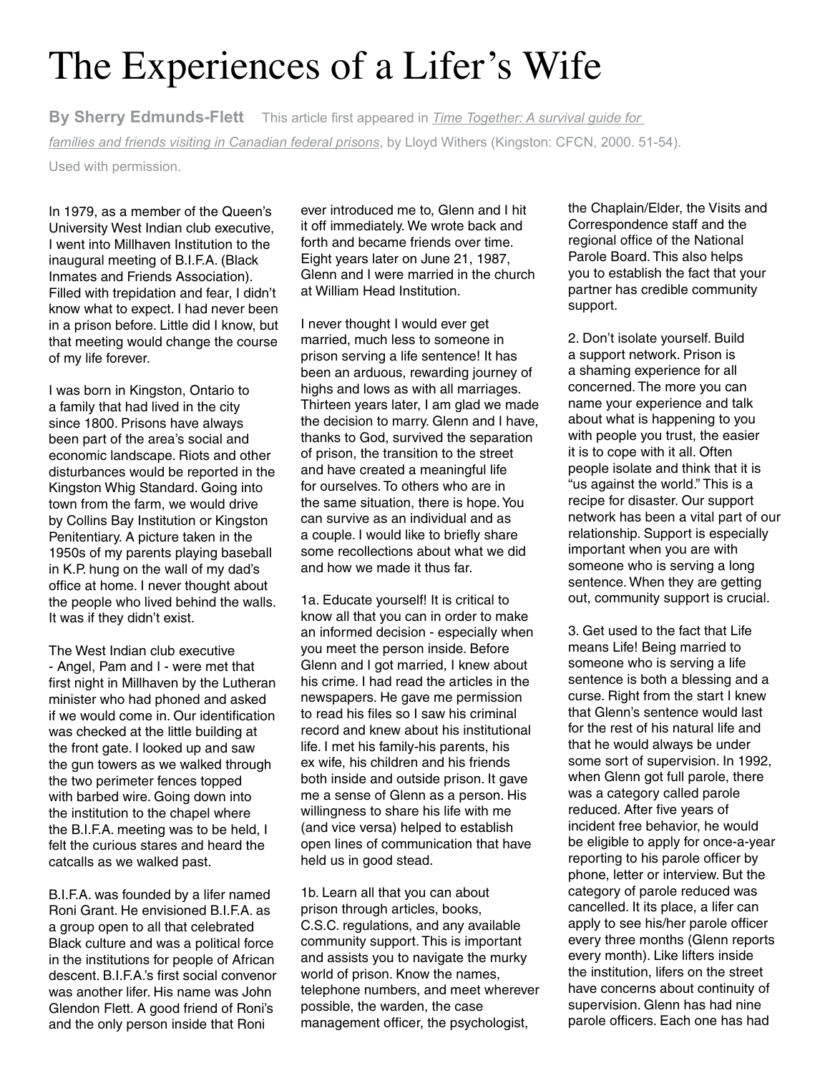## The Experiences of a Lifer's Wife

**By Sherry Edmunds-Flett** This article first appeared in *Time Together: A survival guide for families and friends visiting in Canadian federal prisons*, by Lloyd Withers (Kingston: CFCN, 2000. 51-54).

Used with permission.

In 1979, as a member of the Queen's University West Indian club executive, I went into Millhaven Institution to the inaugural meeting of B.I.F.A. (Black Inmates and Friends Association). Filled with trepidation and fear, I didn't know what to expect. I had never been in a prison before. Little did I know, but that meeting would change the course of my life forever.

I was born in Kingston, Ontario to a family that had lived in the city since 1800. Prisons have always been part of the area's social and economic landscape. Riots and other disturbances would be reported in the Kingston Whig Standard. Going into town from the farm, we would drive by Collins Bay Institution or Kingston Penitentiary. A picture taken in the 1950s of my parents playing baseball in K.P. hung on the wall of my dad's office at home. I never thought about the people who lived behind the walls. It was if they didn't exist.

The West Indian club executive - Angel, Pam and I - were met that first night in Millhaven by the Lutheran minister who had phoned and asked if we would come in. Our identification was checked at the little building at the front gate. I looked up and saw the gun towers as we walked through the two perimeter fences topped with barbed wire. Going down into the institution to the chapel where the B.I.F.A. meeting was to be held, I felt the curious stares and heard the catcalls as we walked past.

B.I.F.A. was founded by a lifer named Roni Grant. He envisioned B.I.F.A. as a group open to all that celebrated Black culture and was a political force in the institutions for people of African descent. B.I.F.A.'s first social convenor was another lifer. His name was John Glendon Flett. A good friend of Roni's and the only person inside that Roni

ever introduced me to, Glenn and I hit it off immediately. We wrote back and forth and became friends over time. Eight years later on June 21, 1987, Glenn and I were married in the church at William Head Institution.

I never thought I would ever get married, much less to someone in prison serving a life sentence! It has been an arduous, rewarding journey of highs and lows as with all marriages. Thirteen years later, I am glad we made the decision to marry. Glenn and I have, thanks to God, survived the separation of prison, the transition to the street and have created a meaningful life for ourselves. To others who are in the same situation, there is hope. You can survive as an individual and as a couple. I would like to briefly share some recollections about what we did and how we made it thus far.

1a. Educate yourself! It is critical to know all that you can in order to make an informed decision - especially when you meet the person inside. Before Glenn and I got married, I knew about his crime. I had read the articles in the newspapers. He gave me permission to read his files so I saw his criminal record and knew about his institutional life. I met his family-his parents, his ex wife, his children and his friends both inside and outside prison. It gave me a sense of Glenn as a person. His willingness to share his life with me (and vice versa) helped to establish open lines of communication that have held us in good stead.

1b. Learn all that you can about prison through articles, books, C.S.C. regulations, and any available community support. This is important and assists you to navigate the murky world of prison. Know the names, telephone numbers, and meet wherever possible, the warden, the case management officer, the psychologist,

the Chaplain/Elder, the Visits and Correspondence staff and the regional office of the National Parole Board. This also helps you to establish the fact that your partner has credible community support.

2. Don't isolate yourself. Build a support network. Prison is a shaming experience for all concerned. The more you can name your experience and talk about what is happening to you with people you trust, the easier it is to cope with it all. Often people isolate and think that it is "us against the world." This is a recipe for disaster. Our support network has been a vital part of our relationship. Support is especially important when you are with someone who is serving a long sentence. When they are getting out, community support is crucial.

3. Get used to the fact that Life means Life! Being married to someone who is serving a life sentence is both a blessing and a curse. Right from the start I knew that Glenn's sentence would last for the rest of his natural life and that he would always be under some sort of supervision. In 1992, when Glenn got full parole, there was a category called parole reduced. After five years of incident free behavior, he would be eligible to apply for once-a-year reporting to his parole officer by phone, letter or interview. But the category of parole reduced was cancelled. It its place, a lifer can apply to see his/her parole officer every three months (Glenn reports every month). Like lifters inside the institution, lifers on the street have concerns about continuity of supervision. Glenn has had nine parole officers. Each one has had